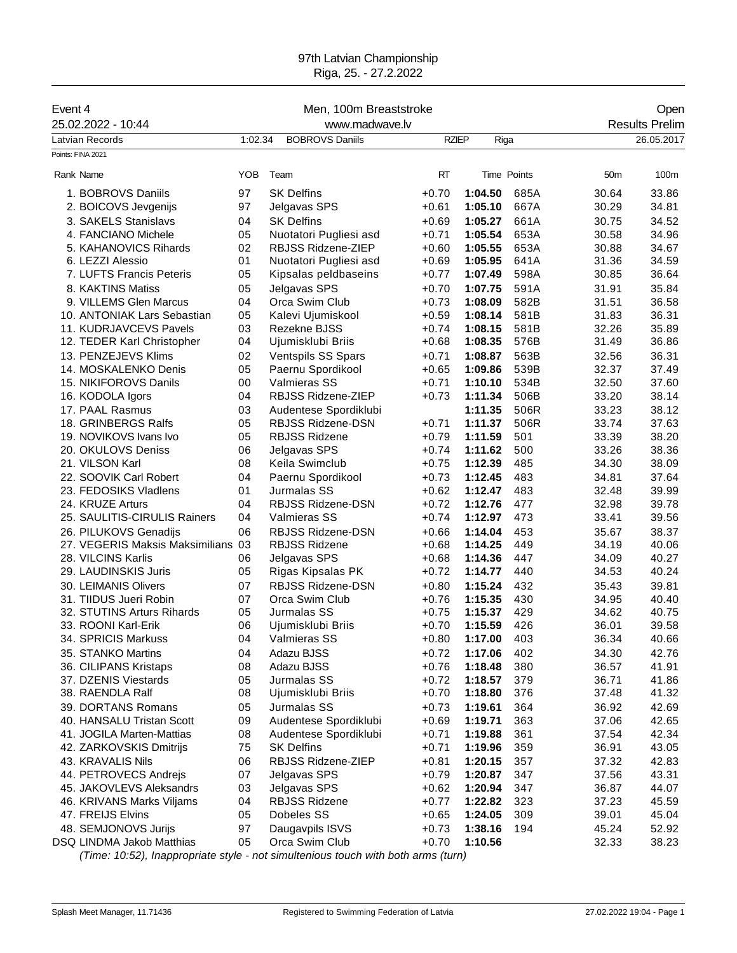## 97th Latvian Championship Riga, 25. - 27.2.2022

| Event 4                            | Men, 100m Breaststroke |                           |              |             |      |                 | Open                  |
|------------------------------------|------------------------|---------------------------|--------------|-------------|------|-----------------|-----------------------|
| 25.02.2022 - 10:44                 | www.madwave.lv         |                           |              |             |      |                 | <b>Results Prelim</b> |
| Latvian Records                    | 1:02.34                | <b>BOBROVS Daniils</b>    | <b>RZIEP</b> | Riga        |      |                 | 26.05.2017            |
| Points: FINA 2021                  |                        |                           |              |             |      |                 |                       |
| Rank Name                          | <b>YOB</b>             | Team                      | <b>RT</b>    | Time Points |      | 50 <sub>m</sub> | 100m                  |
| 1. BOBROVS Daniils                 | 97                     | <b>SK Delfins</b>         | +0.70        | 1:04.50     | 685A | 30.64           | 33.86                 |
| 2. BOICOVS Jevgenijs               | 97                     | Jelgavas SPS              | $+0.61$      | 1:05.10     | 667A | 30.29           | 34.81                 |
| 3. SAKELS Stanislavs               | 04                     | <b>SK Delfins</b>         | $+0.69$      | 1:05.27     | 661A | 30.75           | 34.52                 |
| 4. FANCIANO Michele                | 05                     | Nuotatori Pugliesi asd    | $+0.71$      | 1:05.54     | 653A | 30.58           | 34.96                 |
| 5. KAHANOVICS Rihards              | 02                     | RBJSS Ridzene-ZIEP        | $+0.60$      | 1:05.55     | 653A | 30.88           | 34.67                 |
| 6. LEZZI Alessio                   | 01                     | Nuotatori Pugliesi asd    | $+0.69$      | 1:05.95     | 641A | 31.36           | 34.59                 |
| 7. LUFTS Francis Peteris           | 05                     | Kipsalas peldbaseins      | $+0.77$      | 1:07.49     | 598A | 30.85           | 36.64                 |
| 8. KAKTINS Matiss                  | 05                     | Jelgavas SPS              | $+0.70$      | 1:07.75     | 591A | 31.91           | 35.84                 |
| 9. VILLEMS Glen Marcus             | 04                     | Orca Swim Club            | $+0.73$      | 1:08.09     | 582B | 31.51           | 36.58                 |
| 10. ANTONIAK Lars Sebastian        | 05                     | Kalevi Ujumiskool         | $+0.59$      | 1:08.14     | 581B | 31.83           | 36.31                 |
| 11. KUDRJAVCEVS Pavels             | 03                     | Rezekne BJSS              | $+0.74$      | 1:08.15     | 581B | 32.26           | 35.89                 |
| 12. TEDER Karl Christopher         | 04                     | Ujumisklubi Briis         | $+0.68$      | 1:08.35     | 576B | 31.49           | 36.86                 |
| 13. PENZEJEVS Klims                | 02                     | <b>Ventspils SS Spars</b> | $+0.71$      | 1:08.87     | 563B | 32.56           | 36.31                 |
| 14. MOSKALENKO Denis               | 05                     | Paernu Spordikool         | $+0.65$      | 1:09.86     | 539B | 32.37           | 37.49                 |
| 15. NIKIFOROVS Danils              | 00                     | Valmieras SS              | $+0.71$      | 1:10.10     | 534B | 32.50           | 37.60                 |
| 16. KODOLA Igors                   | 04                     | RBJSS Ridzene-ZIEP        | $+0.73$      | 1:11.34     | 506B | 33.20           | 38.14                 |
| 17. PAAL Rasmus                    | 03                     | Audentese Spordiklubi     |              | 1:11.35     | 506R | 33.23           | 38.12                 |
| 18. GRINBERGS Ralfs                | 05                     | RBJSS Ridzene-DSN         | $+0.71$      | 1:11.37     | 506R | 33.74           | 37.63                 |
| 19. NOVIKOVS Ivans Ivo             | 05                     | <b>RBJSS Ridzene</b>      | $+0.79$      | 1:11.59     | 501  | 33.39           | 38.20                 |
| 20. OKULOVS Deniss                 | 06                     | Jelgavas SPS              | $+0.74$      | 1:11.62     | 500  | 33.26           | 38.36                 |
| 21. VILSON Karl                    | 08                     | Keila Swimclub            | $+0.75$      | 1:12.39     | 485  | 34.30           | 38.09                 |
| 22. SOOVIK Carl Robert             | 04                     | Paernu Spordikool         | $+0.73$      | 1:12.45     | 483  | 34.81           | 37.64                 |
| 23. FEDOSIKS Vladlens              | 01                     | Jurmalas SS               | $+0.62$      | 1:12.47     | 483  | 32.48           | 39.99                 |
| 24. KRUZE Arturs                   | 04                     | RBJSS Ridzene-DSN         | $+0.72$      | 1:12.76     | 477  | 32.98           | 39.78                 |
| 25. SAULITIS-CIRULIS Rainers       | 04                     | <b>Valmieras SS</b>       | $+0.74$      | 1:12.97     | 473  | 33.41           | 39.56                 |
| 26. PILUKOVS Genadijs              | 06                     | RBJSS Ridzene-DSN         | $+0.66$      | 1:14.04     | 453  | 35.67           | 38.37                 |
| 27. VEGERIS Maksis Maksimilians 03 |                        | <b>RBJSS Ridzene</b>      | $+0.68$      | 1:14.25     | 449  | 34.19           | 40.06                 |
| 28. VILCINS Karlis                 | 06                     | Jelgavas SPS              | $+0.68$      | 1:14.36     | 447  | 34.09           | 40.27                 |
| 29. LAUDINSKIS Juris               | 05                     | Rigas Kipsalas PK         | $+0.72$      | 1:14.77     | 440  | 34.53           | 40.24                 |
| 30. LEIMANIS Olivers               | 07                     | RBJSS Ridzene-DSN         | $+0.80$      | 1:15.24     | 432  | 35.43           | 39.81                 |
| 31. TIIDUS Jueri Robin             | 07                     | Orca Swim Club            | $+0.76$      | 1:15.35     | 430  | 34.95           | 40.40                 |
| 32. STUTINS Arturs Rihards         | 05                     | Jurmalas SS               | $+0.75$      | 1:15.37     | 429  | 34.62           | 40.75                 |
| 33. ROONI Karl-Erik                | 06                     | Ujumisklubi Briis         | $+0.70$      | 1:15.59     | 426  | 36.01           | 39.58                 |
| 34. SPRICIS Markuss                | 04                     | Valmieras SS              | $+0.80$      | 1:17.00     | 403  | 36.34           | 40.66                 |
| 35. STANKO Martins                 | 04                     | Adazu BJSS                | $+0.72$      | 1:17.06     | 402  | 34.30           | 42.76                 |
| 36. CILIPANS Kristaps              | 08                     | Adazu BJSS                | $+0.76$      | 1:18.48     | 380  | 36.57           | 41.91                 |
| 37. DZENIS Viestards               | 05                     | Jurmalas SS               | $+0.72$      | 1:18.57     | 379  | 36.71           | 41.86                 |
| 38. RAENDLA Ralf                   | 08                     | Ujumisklubi Briis         | $+0.70$      | 1:18.80     | 376  | 37.48           | 41.32                 |
| 39. DORTANS Romans                 | 05                     | Jurmalas SS               | $+0.73$      | 1:19.61     | 364  | 36.92           | 42.69                 |
| 40. HANSALU Tristan Scott          | 09                     | Audentese Spordiklubi     | $+0.69$      | 1:19.71     | 363  | 37.06           | 42.65                 |
| 41. JOGILA Marten-Mattias          | 08                     | Audentese Spordiklubi     | $+0.71$      | 1:19.88     | 361  | 37.54           | 42.34                 |
| 42. ZARKOVSKIS Dmitrijs            | 75                     | <b>SK Delfins</b>         | $+0.71$      | 1:19.96     | 359  | 36.91           | 43.05                 |
| 43. KRAVALIS Nils                  | 06                     | RBJSS Ridzene-ZIEP        | $+0.81$      | 1:20.15     | 357  | 37.32           | 42.83                 |
| 44. PETROVECS Andrejs              | 07                     | Jelgavas SPS              | $+0.79$      | 1:20.87     | 347  | 37.56           | 43.31                 |
| 45. JAKOVLEVS Aleksandrs           | 03                     | Jelgavas SPS              | $+0.62$      | 1:20.94     | 347  | 36.87           | 44.07                 |
| 46. KRIVANS Marks Viljams          | 04                     | <b>RBJSS Ridzene</b>      | $+0.77$      | 1:22.82     | 323  | 37.23           | 45.59                 |
| 47. FREIJS Elvins                  | 05                     | Dobeles SS                | $+0.65$      | 1:24.05     | 309  | 39.01           | 45.04                 |
| 48. SEMJONOVS Jurijs               | 97                     | Daugavpils ISVS           | $+0.73$      | 1:38.16     | 194  | 45.24           | 52.92                 |
| DSQ LINDMA Jakob Matthias          | 05                     | Orca Swim Club            | $+0.70$      | 1:10.56     |      | 32.33           | 38.23                 |

*(Time: 10:52), Inappropriate style - not simultenious touch with both arms (turn)*